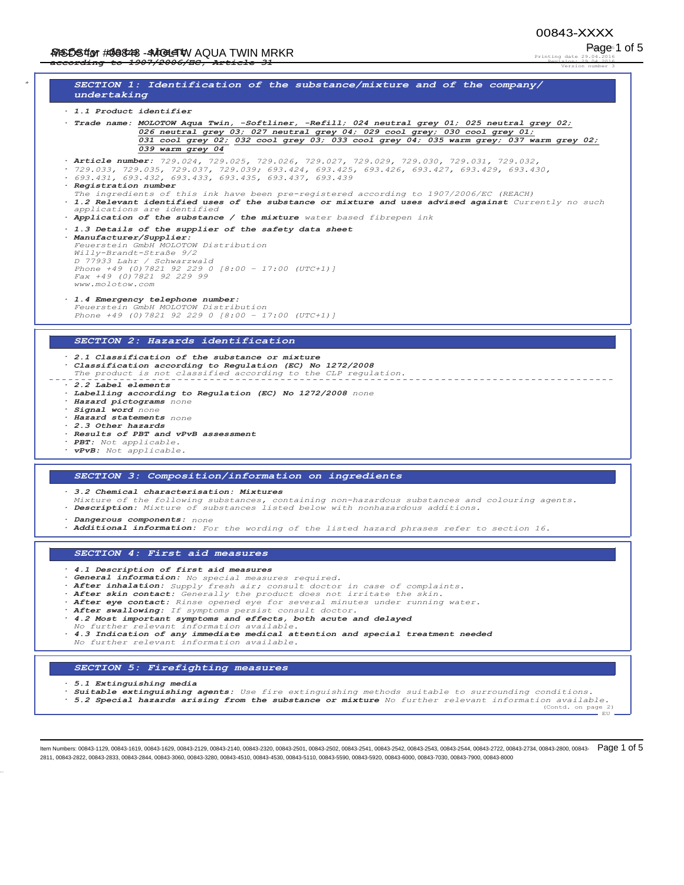Printing date 29.04.2016 Revision: 29.04.2016 Version number 3

Page 1 of 5

EU

*\* SECTION 1: Identification of the substance/mixture and of the company/ undertaking · 1.1 Product identifier · Trade name: 02/272:\$TXD7ZLQ6RIWOLQHU5HILOOQHXWUDOJUH\QHXWUDOJUH\ Q26* neutral grey 03; 027 neutral grey 04; 029 cool grey; 030 cool grey 01;<br>*Q31 cool grey 02; 032 cool grey 03; 033 cool grey 04; 035 warm grey; 037 warm grey 02;* 039 warm grey 04 *· Article number: ·* 693.431, 693.432, 693.433, 693.435, 693.437, 693.439 *· Registration number The ingredients of this ink have been pre-registered according to 1907/2006/EC (REACH) · 1.2 Relevant identified uses of the substance or mixture and uses advised against Currently no such applications are identified · Application of the substance / the mixture water based fibrepen ink · 1.3 Details of the supplier of the safety data sheet · Manufacturer/Supplier:*  $F euerstein$  *GmbH MOLOTOW Distribution*  $Willy-Brandt-Strabe$  9/2 *D 77933 Lahr / Schwarzwald<br>Phone +49 (0)7821 92 229 0 [8:00 - 17:00 (UTC+1)]* Fax +49 (0) 7821 92 229 99  $www.molotow.com$ *· 1.4 Emergency telephone number: Feuerstein GmbH MOLOTOW Distribution*<br>*Phone +49 (0)7821 92 229 0 [8:00 - 1 3KRQH>±87&@ SECTION 2: Hazards identification · 2.1 Classification of the substance or mixture · Classification according to Regulation (EC) No 1272/2008 The product is not classified according to the CLP regulation. · 2.2 Label elements · Labelling according to Regulation (EC) No 1272/2008 none · Hazard pictograms none · Signal word none · Hazard statements none · 2.3 Other hazards · Results of PBT and vPvB assessment · PBT: Not applicable. · vPvB: Not applicable. SECTION 3: Composition/information on ingredients · 3.2 Chemical characterisation: Mixtures Mixture of the following substances, containing non-hazardous substances and colouring agents. · Description: Mixture of substances listed below with nonhazardous additions. · Dangerous components: none · Additional information: For the wording of the listed hazard phrases refer to section 16. SECTION 4: First aid measures · 4.1 Description of first aid measures · General information: No special measures required. · After inhalation: Supply fresh air; consult doctor in case of complaints. · After skin contact: Generally the product does not irritate the skin. · After eye contact: Rinse opened eye for several minutes under running water. · After swallowing: If symptoms persist consult doctor. · 4.2 Most important symptoms and effects, both acute and delayed No further relevant information available. · 4.3 Indication of any immediate medical attention and special treatment needed No further relevant information available. SECTION 5: Firefighting measures*

*· 5.1 Extinguishing media*

*· Suitable extinguishing agents: Use fire extinguishing methods suitable to surrounding conditions.*

*· 5.2 Special hazards arising from the substance or mixture No further relevant information available.* (Contd. on page

ltem Numbers: 00843-1129, 00843-1619, 00843-1629, 00843-2129, 00843-2140, 00843-2320, 00843-2501, 00843-2541, 00843-2542, 00843-2543, 00843-2543, 00843-2722, 00843-2734, 00843-2734, 00843-2800, 00843-2811, 00843-2822, 00843-2833, 00843-2844, 00843-3060, 00843-3280, 00843-4510, 00843-4530, 00843-5110, 00843-5590, 00843-5920, 00843-6000, 00843-7030, 00843-7900, 00843-8000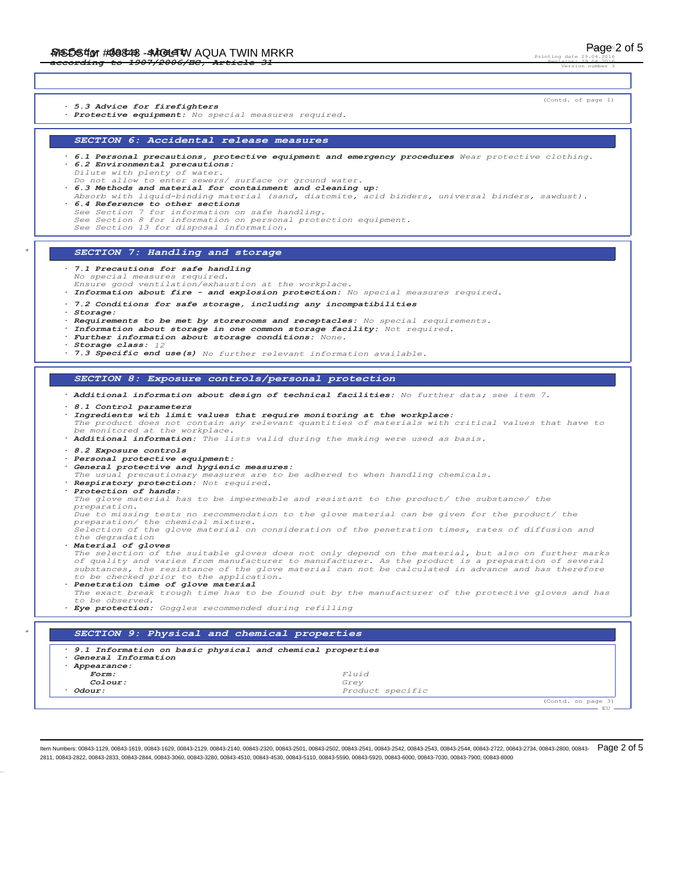Printing date Revision: 29.04.2016 Version number 3

(Contd. on page 3)<br>
EU

(Contd. of page 1) *· 5.3 Advice for firefighters · Protective equipment: No special measures required. SECTION 6: Accidental release measures · 6.1 Personal precautions, protective equipment and emergency procedures Wear protective clothing. · 6.2 Environmental precautions: Dilute with plenty of water. Do not allow to enter sewers/ surface or ground water. · 6.3 Methods and material for containment and cleaning up: Absorb with liquid-binding material (sand, diatomite, acid binders, universal binders, sawdust). · 6.4 Reference to other sections See Section 7 for information on safe handling. See Section 8 for information on personal protection equipment. See Section 13 for disposal information. \* SECTION 7: Handling and storage · 7.1 Precautions for safe handling No special measures required. Ensure good ventilation/exhaustion at the workplace. · Information about fire - and explosion protection: No special measures required. · 7.2 Conditions for safe storage, including any incompatibilities · Storage: · Requirements to be met by storerooms and receptacles: No special requirements. · Information about storage in one common storage facility: Not required. · Further information about storage conditions: None. · Storage class: 12 · 7.3 Specific end use(s) No further relevant information available. SECTION 8: Exposure controls/personal protection · Additional information about design of technical facilities: No further data; see item 7. · 8.1 Control parameters · Ingredients with limit values that require monitoring at the workplace: The product does not contain any relevant quantities of materials with critical values that have to be monitored at the workplace. · Additional information: The lists valid during the making were used as basis. · 8.2 Exposure controls · Personal protective equipment: · General protective and hygienic measures: The usual precautionary measures are to be adhered to when handling chemicals. · Respiratory protection: Not required. · Protection of hands: The glove material has to be impermeable and resistant to the product/ the substance/ the preparation. Due to missing tests no recommendation to the glove material can be given for the product/ the preparation/ the chemical mixture. Selection of the glove material on consideration of the penetration times, rates of diffusion and the degradation · Material of gloves The selection of the suitable gloves does not only depend on the material, but also on further marks of quality and varies from manufacturer to manufacturer. As the product is a preparation of several substances, the resistance of the glove material can not be calculated in advance and has therefore to be checked prior to the application. · Penetration time of glove material The exact break trough time has to be found out by the manufacturer of the protective gloves and has to be observed. · Eye protection: Goggles recommended during refilling \* SECTION 9: Physical and chemical properties · 9.1 Information on basic physical and chemical properties · General Information · Appearance: Form: Fluid Colour: Grey Odour: Product specific* 

ltem Numbers: 00843-1129, 00843-1619, 00843-1629, 00843-2129, 00843-2140, 00843-2320, 00843-2501, 00843-2541, 00843-2542, 00843-2542, 00843-2543, 00843-254, 00843-2542, 00843-2722, 00843-2734, 00843-2800, 00843-2734, 00843 2811, 00843-2822, 00843-2833, 00843-2844, 00843-3060, 00843-3280, 00843-4510, 00843-4530, 00843-5110, 00843-5590, 00843-5920, 00843-6000, 00843-7030, 00843-7900, 00843-8000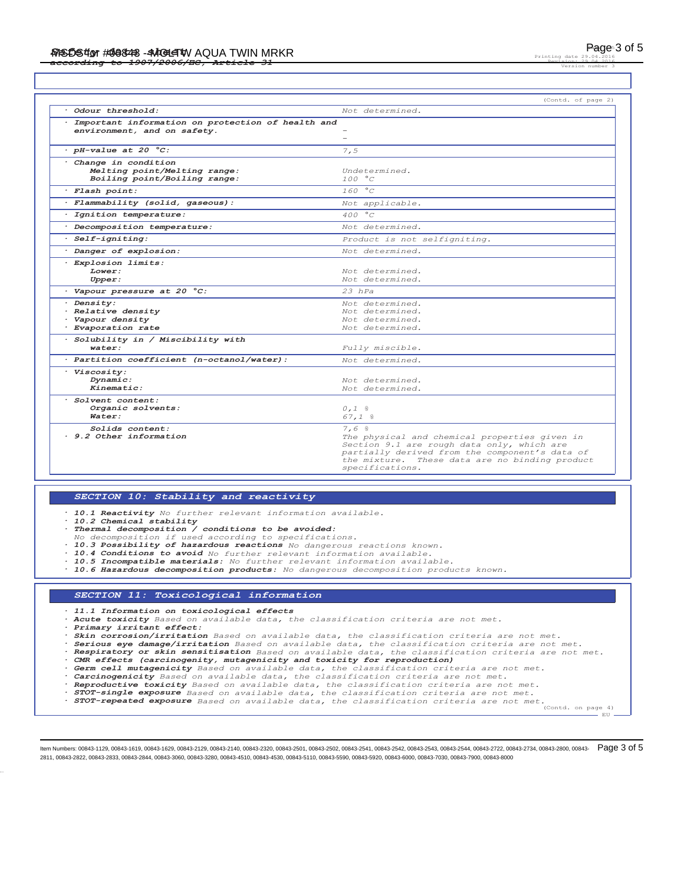Printing date Revision: 29.04.2016 Version number 3

|                                                                                     | (Contd. of page 2)                                                                                                                                                                                                         |
|-------------------------------------------------------------------------------------|----------------------------------------------------------------------------------------------------------------------------------------------------------------------------------------------------------------------------|
| Odour threshold:                                                                    | Not determined.                                                                                                                                                                                                            |
| Important information on protection of health and<br>environment, and on safety.    | $\overline{\phantom{0}}$                                                                                                                                                                                                   |
| $\cdot$ pH-value at 20 $^{\circ}$ C:                                                | 7.5                                                                                                                                                                                                                        |
| Change in condition<br>Melting point/Melting range:<br>Boiling point/Boiling range: | Undetermined.<br>100 °C                                                                                                                                                                                                    |
| · Flash point:                                                                      | 160 °C                                                                                                                                                                                                                     |
| · Flammability (solid, gaseous):                                                    | Not applicable.                                                                                                                                                                                                            |
| · Ignition temperature:                                                             | 400 °C                                                                                                                                                                                                                     |
| · Decomposition temperature:                                                        | Not determined.                                                                                                                                                                                                            |
| $·$ Self-igniting:                                                                  | Product is not selfigniting.                                                                                                                                                                                               |
| · Danger of explosion:                                                              | Not determined.                                                                                                                                                                                                            |
| · Explosion limits:<br>Lower:<br>Upper:                                             | Not determined.<br>Not determined.                                                                                                                                                                                         |
| · Vapour pressure at 20 °C:                                                         | $23$ $hPa$                                                                                                                                                                                                                 |
| · Density:<br>· Relative density<br>· Vapour density<br>· Evaporation rate          | Not determined.<br>Not determined.<br>Not determined.<br>Not determined.                                                                                                                                                   |
| · Solubility in / Miscibility with<br>water:                                        | Fully miscible.                                                                                                                                                                                                            |
| · Partition coefficient (n-octanol/water):                                          | Not determined.                                                                                                                                                                                                            |
| · Viscosity:<br>Dynamic:<br>Kinematic:                                              | Not determined.<br>Not determined.                                                                                                                                                                                         |
| · Solvent content:<br>Organic solvents:<br>Water:                                   | $0,1$ %<br>$67,1$ %                                                                                                                                                                                                        |
| Solids content:<br>. 9.2 Other information                                          | 7.6%<br>The physical and chemical properties given in<br>Section 9.1 are rough data only, which are<br>partially derived from the component's data of<br>the mixture. These data are no binding product<br>specifications. |

# *SECTION 10: Stability and reactivity*

*· 10.1 Reactivity No further relevant information available.*

- 
- *· 10.2 Chemical stability · Thermal decomposition / conditions to be avoided:*
	- *No decomposition if used according to specifications.*
- *· 10.3 Possibility of hazardous reactions No dangerous reactions known.*
- *· 10.4 Conditions to avoid No further relevant information available.*
- *· 10.5 Incompatible materials: No further relevant information available.*
- *· 10.6 Hazardous decomposition products: No dangerous decomposition products known.*

### *SECTION 11: Toxicological information*

*· 11.1 Information on toxicological effects*

*· Acute toxicity Based on available data, the classification criteria are not met.*

*· Primary irritant effect:*

*· Skin corrosion/irritation Based on available data, the classification criteria are not met.*

- *· Serious eye damage/irritation Based on available data, the classification criteria are not met.*
- *· Respiratory or skin sensitisation Based on available data, the classification criteria are not met. · CMR effects (carcinogenity, mutagenicity and toxicity for reproduction)*
- 
- 
- **Germ cell mutagenicity** Based on available data, the classification criteria are not met.<br> **Carcinogenicity** Based on available data, the classification criteria are not met.<br> **Reproductive toxicity** Based on available da
- 
- *· STOT-repeated exposure Based on available data, the classification criteria are not met.* (Contd. on page 4)

EU

ltem Numbers: 00843-1129, 00843-1619, 00843-1629, 00843-2129, 00843-2140, 00843-2320, 00843-2501, 00843-2541, 00843-2542, 00843-2542, 00843-2543, 00843-254, 00843-2542, 00843-2722, 00843-2734, 00843-2800, 00843-2734, 00843 2811, 00843-2822, 00843-2833, 00843-2844, 00843-3060, 00843-3280, 00843-4510, 00843-4530, 00843-5110, 00843-5590, 00843-5920, 00843-6000, 00843-7030, 00843-7900, 00843-8000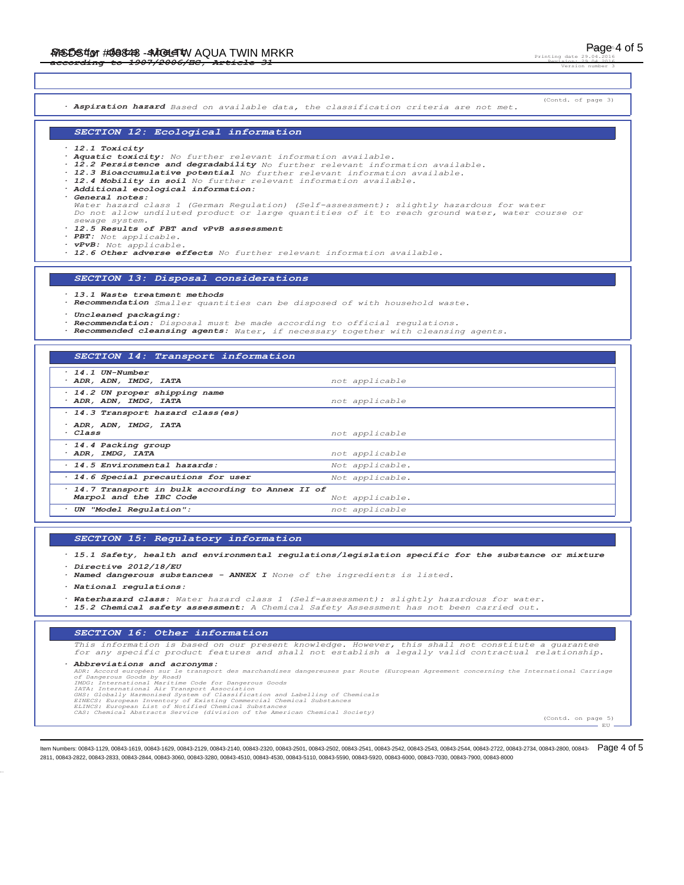Page 4 of 5 Printing date Revision: 29.04.2016 Version number 3

(Contd. of page 3) *· Aspiration hazard Based on available data, the classification criteria are not met. SECTION 12: Ecological information · 12.1 Toxicity · Aquatic toxicity: No further relevant information available. · 12.2 Persistence and degradability No further relevant information available.* . 12.3 Bioaccumulative potential No further relevant information available.<br>. 12.4 Mobility in soil No further relevant information available.<br>. Additional ecological information: *· General notes: Water hazard class 1 (German Regulation) (Self-assessment): slightly hazardous for water Do not allow undiluted product or large quantities of it to reach ground water, water course or sewage system. · 12.5 Results of PBT and vPvB assessment · PBT: Not applicable. · vPvB: Not applicable. · 12.6 Other adverse effects No further relevant information available. SECTION 13: Disposal considerations*

#### *· 13.1 Waste treatment methods*

- *· Recommendation Smaller quantities can be disposed of with household waste.*
- *· Uncleaned packaging:*
- *· Recommendation: Disposal must be made according to official regulations.*
- *· Recommended cleansing agents: Water, if necessary together with cleansing agents.*

|  |  | SECTION 14: Transport information |  |
|--|--|-----------------------------------|--|
|  |  |                                   |  |

| $\cdot$ 14.1 UN-Number                            |                 |  |
|---------------------------------------------------|-----------------|--|
| · ADR, ADN, IMDG, IATA                            | not applicable  |  |
| · 14.2 UN proper shipping name                    |                 |  |
|                                                   |                 |  |
| · ADR, ADN, IMDG, IATA                            | not applicable  |  |
| · 14.3 Transport hazard class (es)                |                 |  |
| · ADR, ADN, IMDG, IATA                            |                 |  |
| $\cdot$ Class                                     | not applicable  |  |
|                                                   |                 |  |
| · 14.4 Packing group                              |                 |  |
| · ADR, IMDG, IATA                                 | not applicable  |  |
| · 14.5 Environmental hazards:                     | Not applicable. |  |
| · 14.6 Special precautions for user               | Not applicable. |  |
| · 14.7 Transport in bulk according to Annex II of |                 |  |
| Marpol and the IBC Code                           | Not applicable. |  |
| UN "Model Requlation":                            | not applicable  |  |

### *SECTION 15: Regulatory information*

- *· 15.1 Safety, health and environmental regulations/legislation specific for the substance or mixture*
- *· Directive 2012/18/EU*
- *· Named dangerous substances ANNEX I None of the ingredients is listed.*
- *· National regulations:*
- *· Waterhazard class: Water hazard class 1 (Self-assessment): slightly hazardous for water.*
- *· 15.2 Chemical safety assessment: A Chemical Safety Assessment has not been carried out.*

### *SECTION 16: Other information*

*This information is based on our present knowledge. However, this shall not constitute a guarantee for any specific product features and shall not establish a legally valid contractual relationship.*

## *· Abbreviations and acronyms:*

ADR: Accord européen sur le transport des marchandises dangereuses par Route (European Agreement concerning the International Carriage<br>Of Dangerous Goods by Road)<br>IMDG: International Maritime Code for Dangerous Goods<br>IMDG:

- 
- 
- 
- 

EU

ltem Numbers: 00843-1129, 00843-1619, 00843-1629, 00843-2129, 00843-2140, 00843-2320, 00843-2501, 00843-2541, 00843-2542, 00843-2542, 00843-2543, 00843-254, 00843-254, 00843-2722, 00843-2734, 00843-2800, 00843-2734, 00843-2811, 00843-2822, 00843-2833, 00843-2844, 00843-3060, 00843-3280, 00843-4510, 00843-4530, 00843-5110, 00843-5590, 00843-5920, 00843-6000, 00843-7030, 00843-7900, 00843-8000